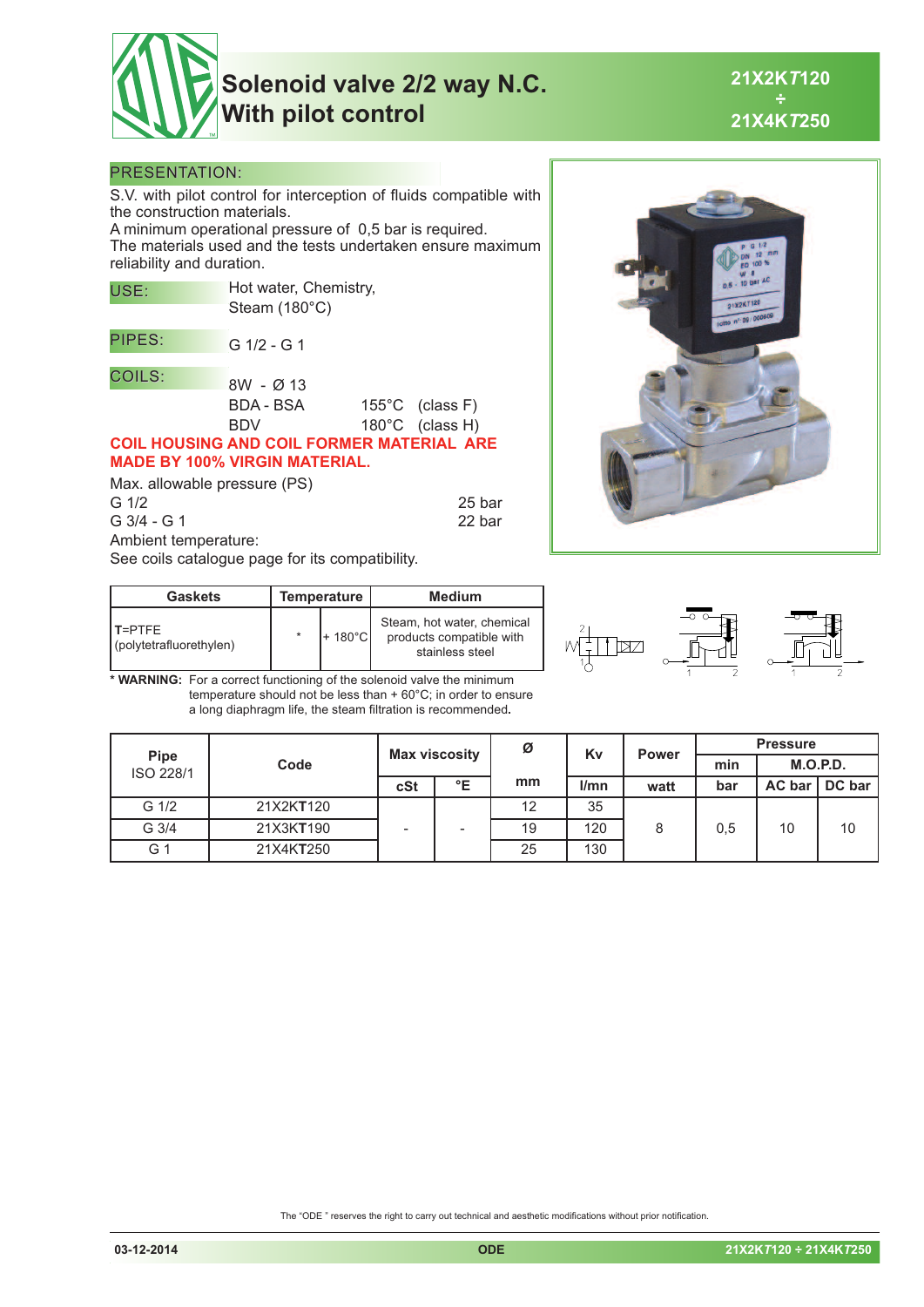

# **Solenoid valve 2/2 way N.C. With pilot control**

**21X2K***T***120 ÷ 21X4K***T***250**

#### PRESENTATION:

S.V. with pilot control for interception of fluids compatible with the construction materials.

A minimum operational pressure of 0,5 bar is required. The materials used and the tests undertaken ensure maximum reliability and duration.

| USE:                                             | Hot water, Chemistry, |  |                           |  |  |  |  |  |
|--------------------------------------------------|-----------------------|--|---------------------------|--|--|--|--|--|
|                                                  | Steam (180°C)         |  |                           |  |  |  |  |  |
| PIPES:                                           | $G$ 1/2 - G 1         |  |                           |  |  |  |  |  |
| <b>COILS:</b>                                    | $8W - Q$ 13           |  |                           |  |  |  |  |  |
|                                                  |                       |  |                           |  |  |  |  |  |
|                                                  | BDA - BSA             |  | $155^{\circ}$ C (class F) |  |  |  |  |  |
|                                                  | <b>BDV</b>            |  | 180°C (class H)           |  |  |  |  |  |
| <b>COIL HOUSING AND COIL FORMER MATERIAL ARE</b> |                       |  |                           |  |  |  |  |  |
| <b>MADE BY 100% VIRGIN MATERIAL.</b>             |                       |  |                           |  |  |  |  |  |
| Alay allowahle pressure (PS)                     |                       |  |                           |  |  |  |  |  |

Max. allowable pressure (PS) G 1/2 25 bar

G 3/4 - G 1 22 bar Ambient temperature:

See coils catalogue page for its compatibility.

| <b>Gaskets</b>                     | <b>Temperature</b> | <b>Medium</b>                                                             |  |  |
|------------------------------------|--------------------|---------------------------------------------------------------------------|--|--|
| IT=PTFF<br>(polytetrafluorethylen) | $+180^{\circ}$ Cl  | Steam, hot water, chemical<br>products compatible with<br>stainless steel |  |  |

bz

**\* WARNING:** For a correct functioning of the solenoid valve the minimum temperature should not be less than + 60°C; in order to ensure a long diaphragm life, the steam filtration is recommended**.**

|                          |           | <b>Max viscosity</b> |                          | Ø  | Kv   | <b>Power</b> | <b>Pressure</b> |          |        |
|--------------------------|-----------|----------------------|--------------------------|----|------|--------------|-----------------|----------|--------|
| <b>Pipe</b><br>ISO 228/1 | Code      |                      |                          |    |      |              | min             | M.O.P.D. |        |
|                          |           | cSt                  | °E                       | mm | l/mn | watt         | bar             | AC bar   | DC bar |
| G 1/2                    | 21X2KT120 |                      |                          | 12 | 35   |              |                 |          |        |
| G 3/4                    | 21X3KT190 |                      | $\overline{\phantom{a}}$ | 19 | 120  | 8            | 0,5             | 10       | 10     |
| G <sub>1</sub>           | 21X4KT250 |                      |                          | 25 | 130  |              |                 |          |        |

The "ODE " reserves the right to carry out technical and aesthetic modifications without prior notification.